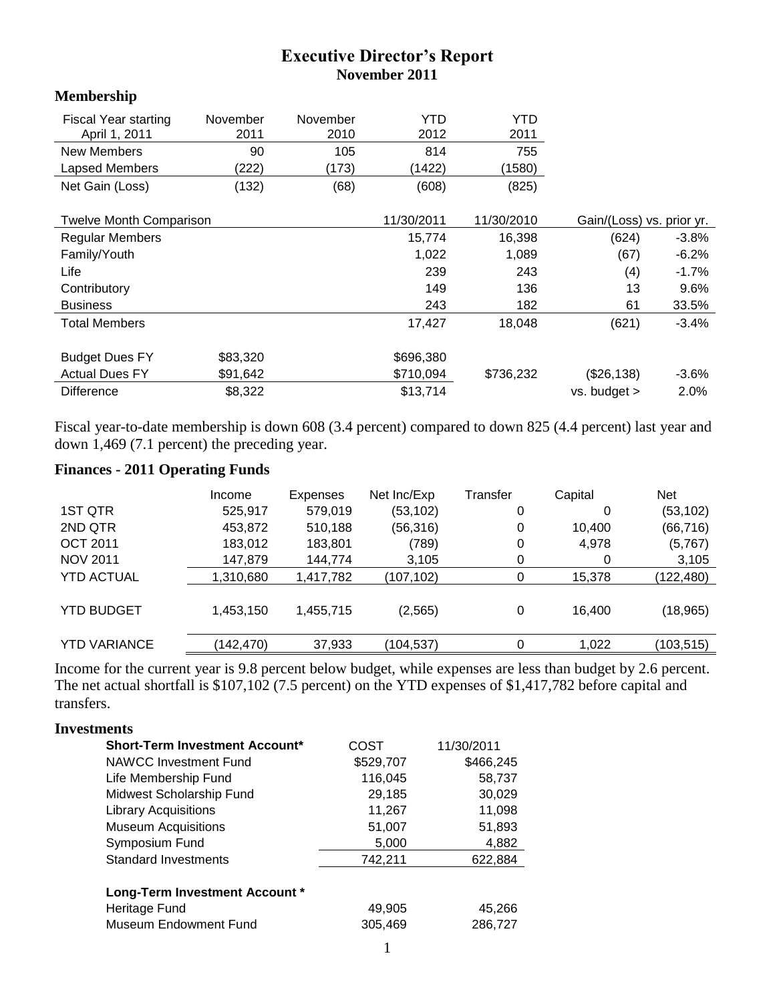# **Executive Director's Report November 2011**

#### **Membership**

| <b>Fiscal Year starting</b><br>April 1, 2011 | November<br>2011 | November<br>2010 | YTD<br>2012 | YTD<br>2011 |                           |          |
|----------------------------------------------|------------------|------------------|-------------|-------------|---------------------------|----------|
| New Members                                  | 90               | 105              | 814         | 755         |                           |          |
| Lapsed Members                               | (222)            | (173)            | (1422)      | (1580)      |                           |          |
| Net Gain (Loss)                              | (132)            | (68)             | (608)       | (825)       |                           |          |
| <b>Twelve Month Comparison</b>               |                  |                  | 11/30/2011  | 11/30/2010  | Gain/(Loss) vs. prior yr. |          |
| <b>Regular Members</b>                       |                  |                  | 15,774      | 16,398      | (624)                     | $-3.8\%$ |
| Family/Youth                                 |                  |                  | 1,022       | 1,089       | (67)                      | $-6.2%$  |
| Life                                         |                  |                  | 239         | 243         | (4)                       | $-1.7%$  |
| Contributory                                 |                  |                  | 149         | 136         | 13                        | 9.6%     |
| <b>Business</b>                              |                  |                  | 243         | 182         | 61                        | 33.5%    |
| <b>Total Members</b>                         |                  |                  | 17,427      | 18,048      | (621)                     | $-3.4%$  |
| <b>Budget Dues FY</b>                        | \$83,320         |                  | \$696,380   |             |                           |          |
| <b>Actual Dues FY</b>                        | \$91,642         |                  | \$710,094   | \$736,232   | (\$26,138)                | $-3.6%$  |
| <b>Difference</b>                            | \$8,322          |                  | \$13,714    |             | $vs.$ budget $>$          | 2.0%     |

Fiscal year-to-date membership is down 608 (3.4 percent) compared to down 825 (4.4 percent) last year and down 1,469 (7.1 percent) the preceding year.

# **Finances - 2011 Operating Funds**

| Income    | Expenses  | Net Inc/Exp | Transfer | Capital | <b>Net</b> |
|-----------|-----------|-------------|----------|---------|------------|
| 525,917   | 579,019   | (53, 102)   | 0        | 0       | (53, 102)  |
| 453,872   | 510,188   | (56, 316)   | 0        | 10,400  | (66, 716)  |
| 183,012   | 183,801   | (789)       | 0        | 4,978   | (5,767)    |
| 147,879   | 144,774   | 3,105       | 0        | 0       | 3,105      |
| 1,310,680 | 1,417,782 | (107, 102)  | 0        | 15,378  | (122, 480) |
| 1,453,150 | 1,455,715 | (2, 565)    | 0        | 16.400  | (18, 965)  |
| (142,470) | 37,933    | (104,537)   | 0        | 1,022   | (103,515)  |
|           |           |             |          |         |            |

Income for the current year is 9.8 percent below budget, while expenses are less than budget by 2.6 percent. The net actual shortfall is \$107,102 (7.5 percent) on the YTD expenses of \$1,417,782 before capital and transfers.

# **Investments**

| <b>Short-Term Investment Account*</b> | COST      | 11/30/2011 |  |
|---------------------------------------|-----------|------------|--|
| NAWCC Investment Fund                 | \$529,707 | \$466,245  |  |
| Life Membership Fund                  | 116,045   | 58,737     |  |
| Midwest Scholarship Fund              | 29,185    | 30,029     |  |
| <b>Library Acquisitions</b>           | 11,267    | 11,098     |  |
| <b>Museum Acquisitions</b>            | 51,007    | 51,893     |  |
| Symposium Fund                        | 5,000     | 4,882      |  |
| <b>Standard Investments</b>           | 742,211   | 622,884    |  |
|                                       |           |            |  |
| <b>Long-Term Investment Account *</b> |           |            |  |
| Heritage Fund                         | 49,905    | 45,266     |  |
| <b>Museum Endowment Fund</b>          | 305,469   | 286,727    |  |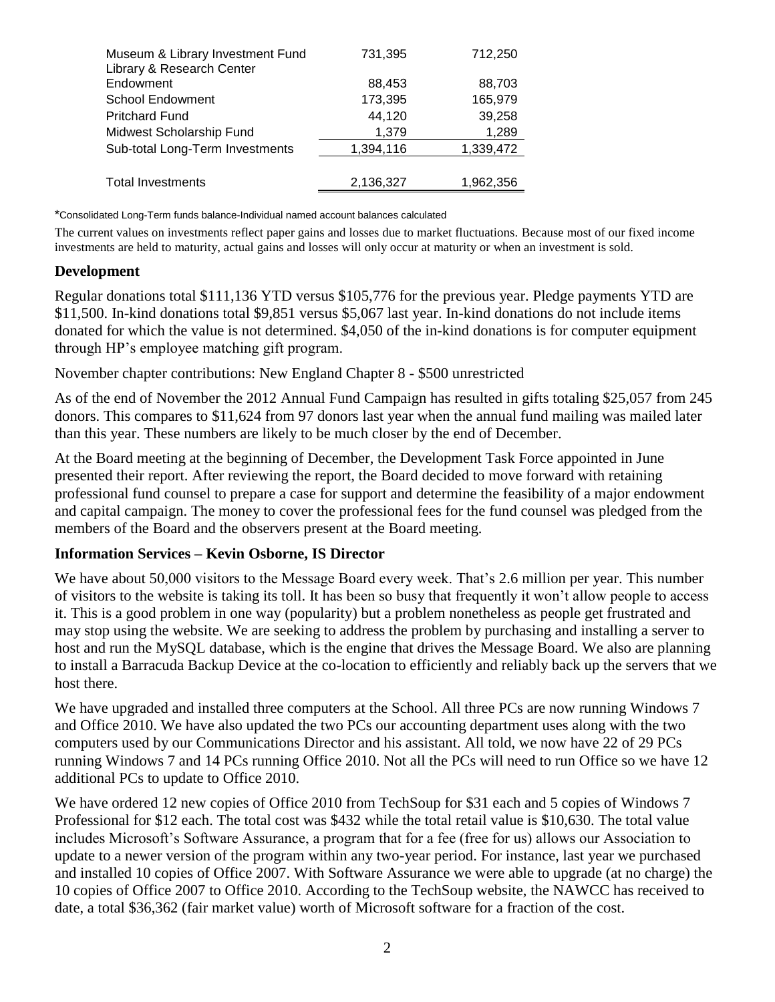| Museum & Library Investment Fund<br>Library & Research Center | 731,395   | 712,250   |
|---------------------------------------------------------------|-----------|-----------|
| Endowment                                                     | 88,453    | 88,703    |
| <b>School Endowment</b>                                       | 173,395   | 165,979   |
| <b>Pritchard Fund</b>                                         | 44,120    | 39,258    |
| Midwest Scholarship Fund                                      | 1,379     | 1,289     |
| Sub-total Long-Term Investments                               | 1,394,116 | 1,339,472 |
|                                                               |           |           |
| <b>Total Investments</b>                                      | 2,136,327 | 1,962,356 |
|                                                               |           |           |

\*Consolidated Long-Term funds balance-Individual named account balances calculated

The current values on investments reflect paper gains and losses due to market fluctuations. Because most of our fixed income investments are held to maturity, actual gains and losses will only occur at maturity or when an investment is sold.

#### **Development**

Regular donations total \$111,136 YTD versus \$105,776 for the previous year. Pledge payments YTD are \$11,500. In-kind donations total \$9,851 versus \$5,067 last year. In-kind donations do not include items donated for which the value is not determined. \$4,050 of the in-kind donations is for computer equipment through HP's employee matching gift program.

November chapter contributions: New England Chapter 8 - \$500 unrestricted

As of the end of November the 2012 Annual Fund Campaign has resulted in gifts totaling \$25,057 from 245 donors. This compares to \$11,624 from 97 donors last year when the annual fund mailing was mailed later than this year. These numbers are likely to be much closer by the end of December.

At the Board meeting at the beginning of December, the Development Task Force appointed in June presented their report. After reviewing the report, the Board decided to move forward with retaining professional fund counsel to prepare a case for support and determine the feasibility of a major endowment and capital campaign. The money to cover the professional fees for the fund counsel was pledged from the members of the Board and the observers present at the Board meeting.

#### **Information Services – Kevin Osborne, IS Director**

We have about 50,000 visitors to the Message Board every week. That's 2.6 million per year. This number of visitors to the website is taking its toll. It has been so busy that frequently it won't allow people to access it. This is a good problem in one way (popularity) but a problem nonetheless as people get frustrated and may stop using the website. We are seeking to address the problem by purchasing and installing a server to host and run the MySQL database, which is the engine that drives the Message Board. We also are planning to install a Barracuda Backup Device at the co-location to efficiently and reliably back up the servers that we host there.

We have upgraded and installed three computers at the School. All three PCs are now running Windows 7 and Office 2010. We have also updated the two PCs our accounting department uses along with the two computers used by our Communications Director and his assistant. All told, we now have 22 of 29 PCs running Windows 7 and 14 PCs running Office 2010. Not all the PCs will need to run Office so we have 12 additional PCs to update to Office 2010.

We have ordered 12 new copies of Office 2010 from TechSoup for \$31 each and 5 copies of Windows 7 Professional for \$12 each. The total cost was \$432 while the total retail value is \$10,630. The total value includes Microsoft's Software Assurance, a program that for a fee (free for us) allows our Association to update to a newer version of the program within any two-year period. For instance, last year we purchased and installed 10 copies of Office 2007. With Software Assurance we were able to upgrade (at no charge) the 10 copies of Office 2007 to Office 2010. According to the TechSoup website, the NAWCC has received to date, a total \$36,362 (fair market value) worth of Microsoft software for a fraction of the cost.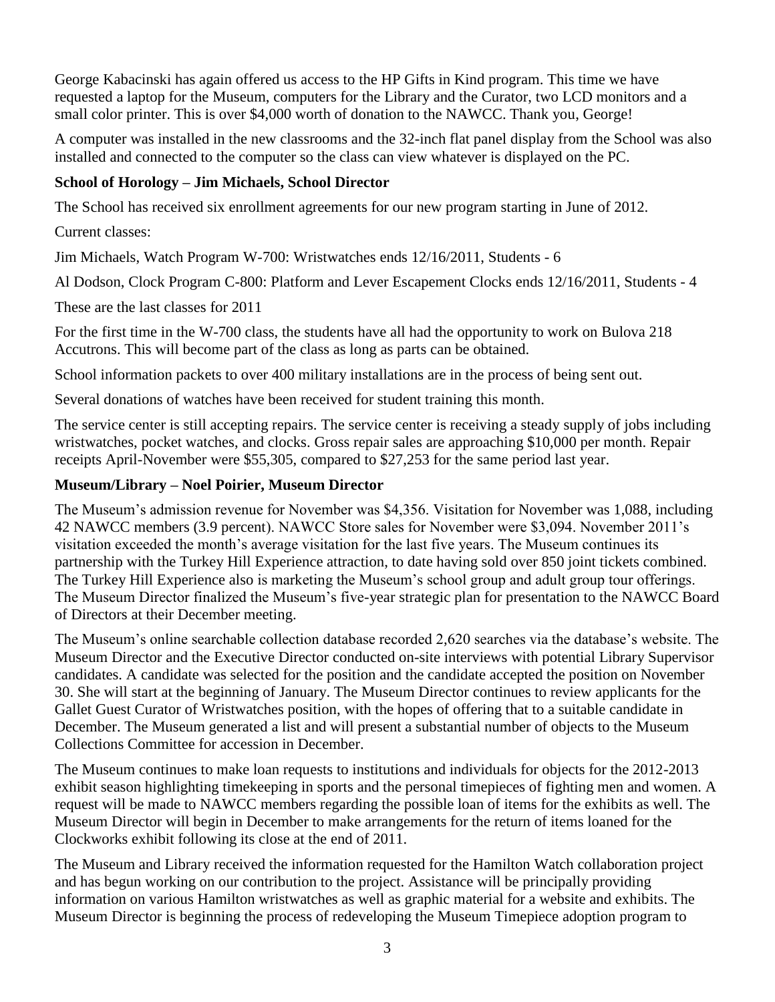George Kabacinski has again offered us access to the HP Gifts in Kind program. This time we have requested a laptop for the Museum, computers for the Library and the Curator, two LCD monitors and a small color printer. This is over \$4,000 worth of donation to the NAWCC. Thank you, George!

A computer was installed in the new classrooms and the 32-inch flat panel display from the School was also installed and connected to the computer so the class can view whatever is displayed on the PC.

## **School of Horology – Jim Michaels, School Director**

The School has received six enrollment agreements for our new program starting in June of 2012.

Current classes:

Jim Michaels, Watch Program W-700: Wristwatches ends 12/16/2011, Students - 6

Al Dodson, Clock Program C-800: Platform and Lever Escapement Clocks ends 12/16/2011, Students - 4

These are the last classes for 2011

For the first time in the W-700 class, the students have all had the opportunity to work on Bulova 218 Accutrons. This will become part of the class as long as parts can be obtained.

School information packets to over 400 military installations are in the process of being sent out.

Several donations of watches have been received for student training this month.

The service center is still accepting repairs. The service center is receiving a steady supply of jobs including wristwatches, pocket watches, and clocks. Gross repair sales are approaching \$10,000 per month. Repair receipts April-November were \$55,305, compared to \$27,253 for the same period last year.

## **Museum/Library – Noel Poirier, Museum Director**

The Museum's admission revenue for November was \$4,356. Visitation for November was 1,088, including 42 NAWCC members (3.9 percent). NAWCC Store sales for November were \$3,094. November 2011's visitation exceeded the month's average visitation for the last five years. The Museum continues its partnership with the Turkey Hill Experience attraction, to date having sold over 850 joint tickets combined. The Turkey Hill Experience also is marketing the Museum's school group and adult group tour offerings. The Museum Director finalized the Museum's five-year strategic plan for presentation to the NAWCC Board of Directors at their December meeting.

The Museum's online searchable collection database recorded 2,620 searches via the database's website. The Museum Director and the Executive Director conducted on-site interviews with potential Library Supervisor candidates. A candidate was selected for the position and the candidate accepted the position on November 30. She will start at the beginning of January. The Museum Director continues to review applicants for the Gallet Guest Curator of Wristwatches position, with the hopes of offering that to a suitable candidate in December. The Museum generated a list and will present a substantial number of objects to the Museum Collections Committee for accession in December.

The Museum continues to make loan requests to institutions and individuals for objects for the 2012-2013 exhibit season highlighting timekeeping in sports and the personal timepieces of fighting men and women. A request will be made to NAWCC members regarding the possible loan of items for the exhibits as well. The Museum Director will begin in December to make arrangements for the return of items loaned for the Clockworks exhibit following its close at the end of 2011.

The Museum and Library received the information requested for the Hamilton Watch collaboration project and has begun working on our contribution to the project. Assistance will be principally providing information on various Hamilton wristwatches as well as graphic material for a website and exhibits. The Museum Director is beginning the process of redeveloping the Museum Timepiece adoption program to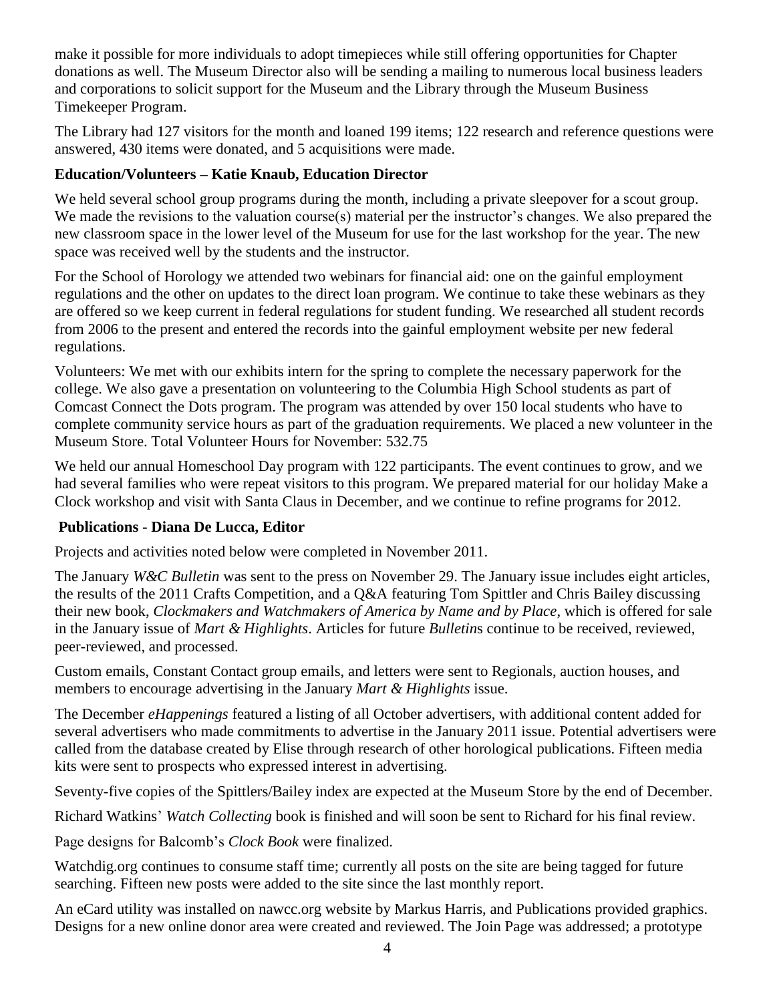make it possible for more individuals to adopt timepieces while still offering opportunities for Chapter donations as well. The Museum Director also will be sending a mailing to numerous local business leaders and corporations to solicit support for the Museum and the Library through the Museum Business Timekeeper Program.

The Library had 127 visitors for the month and loaned 199 items; 122 research and reference questions were answered, 430 items were donated, and 5 acquisitions were made.

# **Education/Volunteers – Katie Knaub, Education Director**

We held several school group programs during the month, including a private sleepover for a scout group. We made the revisions to the valuation course(s) material per the instructor's changes. We also prepared the new classroom space in the lower level of the Museum for use for the last workshop for the year. The new space was received well by the students and the instructor.

For the School of Horology we attended two webinars for financial aid: one on the gainful employment regulations and the other on updates to the direct loan program. We continue to take these webinars as they are offered so we keep current in federal regulations for student funding. We researched all student records from 2006 to the present and entered the records into the gainful employment website per new federal regulations.

Volunteers: We met with our exhibits intern for the spring to complete the necessary paperwork for the college. We also gave a presentation on volunteering to the Columbia High School students as part of Comcast Connect the Dots program. The program was attended by over 150 local students who have to complete community service hours as part of the graduation requirements. We placed a new volunteer in the Museum Store. Total Volunteer Hours for November: 532.75

We held our annual Homeschool Day program with 122 participants. The event continues to grow, and we had several families who were repeat visitors to this program. We prepared material for our holiday Make a Clock workshop and visit with Santa Claus in December, and we continue to refine programs for 2012.

#### **Publications - Diana De Lucca, Editor**

Projects and activities noted below were completed in November 2011.

The January *W&C Bulletin* was sent to the press on November 29. The January issue includes eight articles, the results of the 2011 Crafts Competition, and a Q&A featuring Tom Spittler and Chris Bailey discussing their new book, *Clockmakers and Watchmakers of America by Name and by Place*, which is offered for sale in the January issue of *Mart & Highlights*. Articles for future *Bulletin*s continue to be received, reviewed, peer-reviewed, and processed.

Custom emails, Constant Contact group emails, and letters were sent to Regionals, auction houses, and members to encourage advertising in the January *Mart & Highlights* issue.

The December *eHappenings* featured a listing of all October advertisers, with additional content added for several advertisers who made commitments to advertise in the January 2011 issue. Potential advertisers were called from the database created by Elise through research of other horological publications. Fifteen media kits were sent to prospects who expressed interest in advertising.

Seventy-five copies of the Spittlers/Bailey index are expected at the Museum Store by the end of December.

Richard Watkins' *Watch Collecting* book is finished and will soon be sent to Richard for his final review.

Page designs for Balcomb's *Clock Book* were finalized.

Watchdig.org continues to consume staff time; currently all posts on the site are being tagged for future searching. Fifteen new posts were added to the site since the last monthly report.

An eCard utility was installed on nawcc.org website by Markus Harris, and Publications provided graphics. Designs for a new online donor area were created and reviewed. The Join Page was addressed; a prototype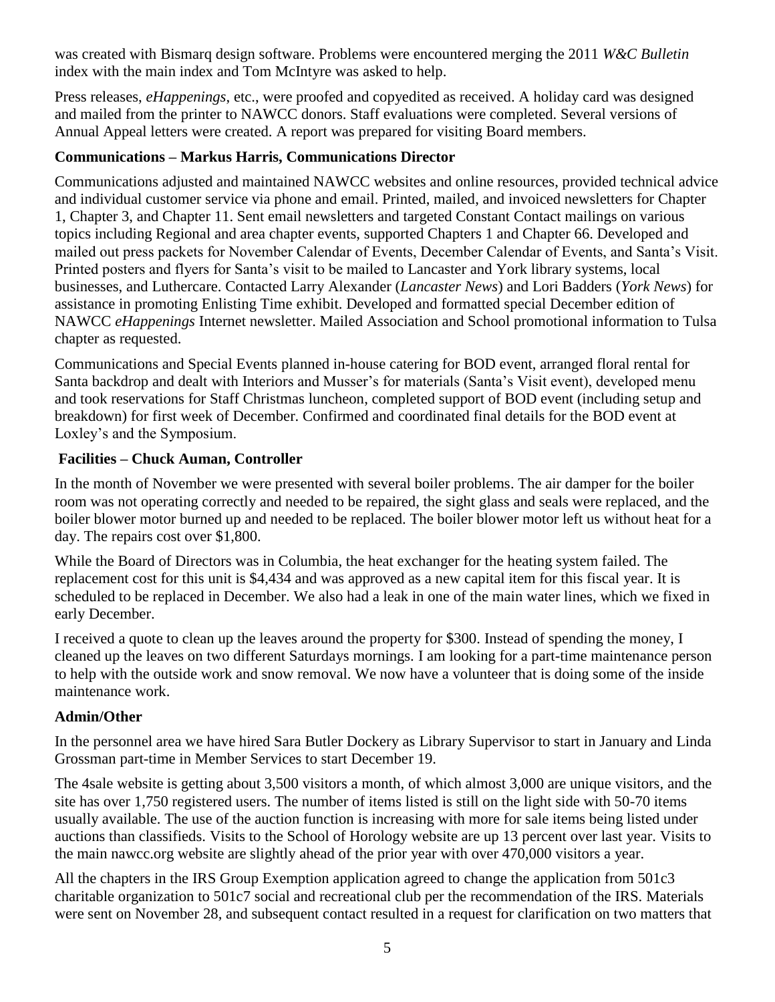was created with Bismarq design software. Problems were encountered merging the 2011 *W&C Bulletin* index with the main index and Tom McIntyre was asked to help.

Press releases, *eHappenings*, etc., were proofed and copyedited as received. A holiday card was designed and mailed from the printer to NAWCC donors. Staff evaluations were completed. Several versions of Annual Appeal letters were created. A report was prepared for visiting Board members.

# **Communications – Markus Harris, Communications Director**

Communications adjusted and maintained NAWCC websites and online resources, provided technical advice and individual customer service via phone and email. Printed, mailed, and invoiced newsletters for Chapter 1, Chapter 3, and Chapter 11. Sent email newsletters and targeted Constant Contact mailings on various topics including Regional and area chapter events, supported Chapters 1 and Chapter 66. Developed and mailed out press packets for November Calendar of Events, December Calendar of Events, and Santa's Visit. Printed posters and flyers for Santa's visit to be mailed to Lancaster and York library systems, local businesses, and Luthercare. Contacted Larry Alexander (*Lancaster News*) and Lori Badders (*York News*) for assistance in promoting Enlisting Time exhibit. Developed and formatted special December edition of NAWCC *eHappenings* Internet newsletter. Mailed Association and School promotional information to Tulsa chapter as requested.

Communications and Special Events planned in-house catering for BOD event, arranged floral rental for Santa backdrop and dealt with Interiors and Musser's for materials (Santa's Visit event), developed menu and took reservations for Staff Christmas luncheon, completed support of BOD event (including setup and breakdown) for first week of December. Confirmed and coordinated final details for the BOD event at Loxley's and the Symposium.

## **Facilities – Chuck Auman, Controller**

In the month of November we were presented with several boiler problems. The air damper for the boiler room was not operating correctly and needed to be repaired, the sight glass and seals were replaced, and the boiler blower motor burned up and needed to be replaced. The boiler blower motor left us without heat for a day. The repairs cost over \$1,800.

While the Board of Directors was in Columbia, the heat exchanger for the heating system failed. The replacement cost for this unit is \$4,434 and was approved as a new capital item for this fiscal year. It is scheduled to be replaced in December. We also had a leak in one of the main water lines, which we fixed in early December.

I received a quote to clean up the leaves around the property for \$300. Instead of spending the money, I cleaned up the leaves on two different Saturdays mornings. I am looking for a part-time maintenance person to help with the outside work and snow removal. We now have a volunteer that is doing some of the inside maintenance work.

#### **Admin/Other**

In the personnel area we have hired Sara Butler Dockery as Library Supervisor to start in January and Linda Grossman part-time in Member Services to start December 19.

The 4sale website is getting about 3,500 visitors a month, of which almost 3,000 are unique visitors, and the site has over 1,750 registered users. The number of items listed is still on the light side with 50-70 items usually available. The use of the auction function is increasing with more for sale items being listed under auctions than classifieds. Visits to the School of Horology website are up 13 percent over last year. Visits to the main nawcc.org website are slightly ahead of the prior year with over 470,000 visitors a year.

All the chapters in the IRS Group Exemption application agreed to change the application from 501c3 charitable organization to 501c7 social and recreational club per the recommendation of the IRS. Materials were sent on November 28, and subsequent contact resulted in a request for clarification on two matters that